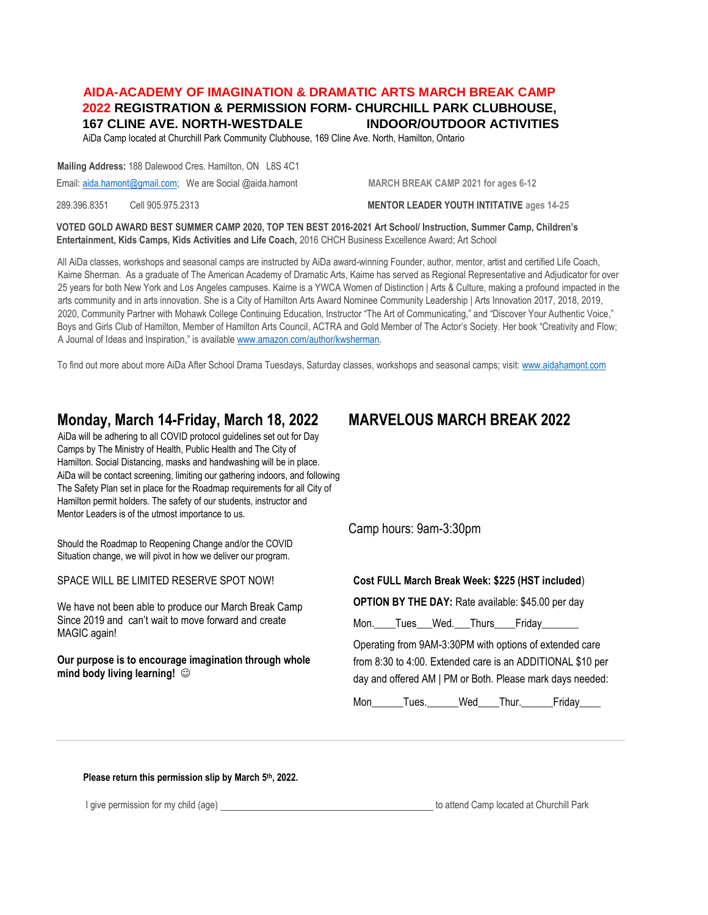# **AIDA-ACADEMY OF IMAGINATION & DRAMATIC ARTS MARCH BREAK CAMP 2022 REGISTRATION & PERMISSION FORM- CHURCHILL PARK CLUBHOUSE, 167 CLINE AVE. NORTH-WESTDALE INDOOR/OUTDOOR ACTIVITIES**

AiDa Camp located at Churchill Park Community Clubhouse, 169 Cline Ave. North, Hamilton, Ontario

**Mailing Address:** 188 Dalewood Cres. Hamilton, ON L8S 4C1

Email[: aida.hamont@gmail.com;](mailto:aida.hamont@gmail.com) We are Social @aida.hamont **MARCH BREAK CAMP 2021 for ages 6-12** 

289.396.8351 Cell 905.975.2313 **MENTOR LEADER YOUTH INTITATIVE ages 14-25**

**VOTED GOLD AWARD BEST SUMMER CAMP 2020, TOP TEN BEST 2016-2021 Art School/ Instruction, Summer Camp, Children's Entertainment, Kids Camps, Kids Activities and Life Coach,** 2016 CHCH Business Excellence Award; Art School

All AiDa classes, workshops and seasonal camps are instructed by AiDa award-winning Founder, author, mentor, artist and certified Life Coach, Kaime Sherman. As a graduate of The American Academy of Dramatic Arts, Kaime has served as Regional Representative and Adjudicator for over 25 years for both New York and Los Angeles campuses. Kaime is a YWCA Women of Distinction | Arts & Culture, making a profound impacted in the arts community and in arts innovation. She is a City of Hamilton Arts Award Nominee Community Leadership | Arts Innovation 2017, 2018, 2019, 2020, Community Partner with Mohawk College Continuing Education, Instructor "The Art of Communicating," and "Discover Your Authentic Voice," Boys and Girls Club of Hamilton, Member of Hamilton Arts Council, ACTRA and Gold Member of The Actor's Society. Her book "Creativity and Flow; A Journal of Ideas and Inspiration," is available [www.amazon.com/author/kwsherman.](http://www.amazon.com/author/kwsherman)

To find out more about more AiDa After School Drama Tuesdays, Saturday classes, workshops and seasonal camps; visit[: www.aidahamont.com](http://www.aidahamont.com/)

# **Monday, March 14-Friday, March 18, 2022 MARVELOUS MARCH BREAK 2022**

AiDa will be adhering to all COVID protocol guidelines set out for Day Camps by The Ministry of Health, Public Health and The City of Hamilton. Social Distancing, masks and handwashing will be in place. AiDa will be contact screening, limiting our gathering indoors, and following The Safety Plan set in place for the Roadmap requirements for all City of Hamilton permit holders. The safety of our students, instructor and Mentor Leaders is of the utmost importance to us.

Should the Roadmap to Reopening Change and/or the COVID Situation change, we will pivot in how we deliver our program.

SPACE WILL BE LIMITED RESERVE SPOT NOW!

We have not been able to produce our March Break Camp Since 2019 and can't wait to move forward and create MAGIC again!

**Our purpose is to encourage imagination through whole mind body living learning!**

Camp hours: 9am-3:30pm

# **Cost FULL March Break Week: \$225 (HST included**)

**OPTION BY THE DAY:** Rate available: \$45.00 per day

Mon. Tues Wed. Thurs Friday

Operating from 9AM-3:30PM with options of extended care from 8:30 to 4:00. Extended care is an ADDITIONAL \$10 per day and offered AM | PM or Both. Please mark days needed:

Mon Tues. Wed Thur. Friday

**Please return this permission slip by March 5th, 2022.**

I give permission for my child (age) the state of the state of the state of attend Camp located at Churchill Park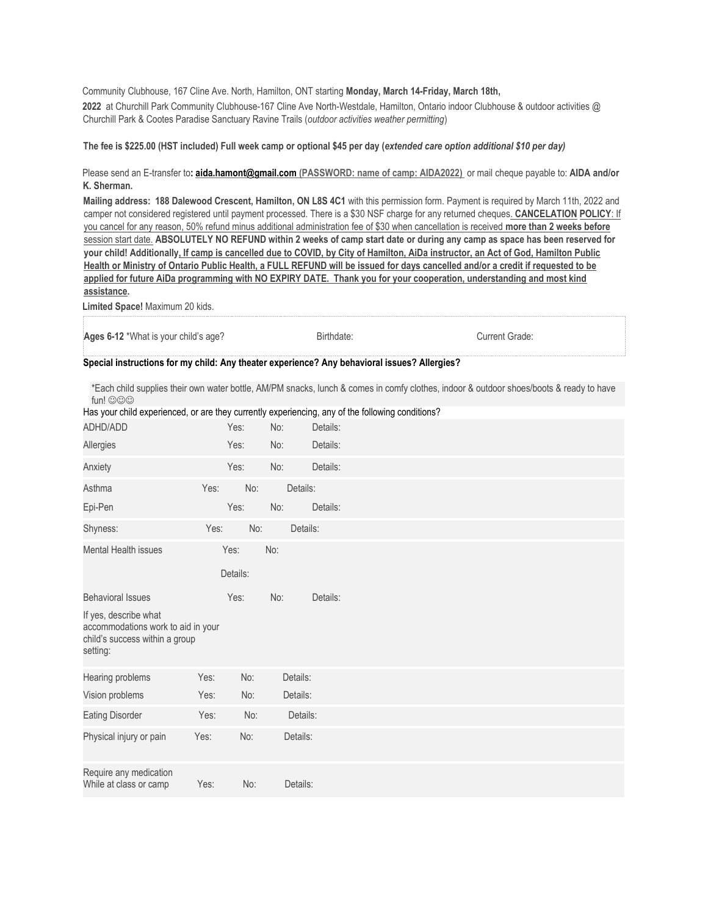Community Clubhouse, 167 Cline Ave. North, Hamilton, ONT starting **Monday, March 14-Friday, March 18th, 2022** at Churchill Park Community Clubhouse-167 Cline Ave North-Westdale, Hamilton, Ontario indoor Clubhouse & outdoor activities @ Churchill Park & Cootes Paradise Sanctuary Ravine Trails (*outdoor activities weather permitting*)

### **The fee is \$225.00 (HST included) Full week camp or optional \$45 per day (***extended care option additional \$10 per day)*

## Please send an E-transfer to**[: aida.hamont@gmail.com](mailto:aida.hamont@gmail.com) (PASSWORD: name of camp: AIDA2022)** or mail cheque payable to: **AIDA and/or K. Sherman.**

**Mailing address: 188 Dalewood Crescent, Hamilton, ON L8S 4C1** with this permission form. Payment is required by March 11th, 2022 and camper not considered registered until payment processed. There is a \$30 NSF charge for any returned cheques. **CANCELATION POLICY**: If you cancel for any reason, 50% refund minus additional administration fee of \$30 when cancellation is received **more than 2 weeks before** session start date. **ABSOLUTELY NO REFUND within 2 weeks of camp start date or during any camp as space has been reserved for your child! Additionally, If camp is cancelled due to COVID, by City of Hamilton, AiDa instructor, an Act of God, Hamilton Public Health or Ministry of Ontario Public Health, a FULL REFUND will be issued for days cancelled and/or a credit if requested to be applied for future AiDa programming with NO EXPIRY DATE. Thank you for your cooperation, understanding and most kind assistance.** 

**Limited Space!** Maximum 20 kids.

| Ages 6-12 *What is your child's age?                                                         | Birthdate: | Current Grade: |
|----------------------------------------------------------------------------------------------|------------|----------------|
| Special instructions for my child: Any theater experience? Any behavioral issues? Allergies? |            |                |

\*Each child supplies their own water bottle, AM/PM snacks, lunch & comes in comfy clothes, indoor & outdoor shoes/boots & ready to have  $fun!$   $\odot$   $\odot$   $\odot$ 

| Has your child experienced, or are they currently experiencing, any of the following conditions?          |      |          |          |          |  |
|-----------------------------------------------------------------------------------------------------------|------|----------|----------|----------|--|
| ADHD/ADD                                                                                                  |      | Yes:     | No:      | Details: |  |
| Allergies                                                                                                 |      | Yes:     | No:      | Details: |  |
| Anxiety                                                                                                   |      | Yes:     | No:      | Details: |  |
| Asthma                                                                                                    | Yes: | No:      | Details: |          |  |
| Epi-Pen                                                                                                   |      | Yes:     | No:      | Details: |  |
| Shyness:                                                                                                  | Yes: | No:      |          | Details: |  |
| <b>Mental Health issues</b>                                                                               |      | Yes:     | No:      |          |  |
|                                                                                                           |      | Details: |          |          |  |
| <b>Behavioral Issues</b>                                                                                  |      | Yes:     | No:      | Details: |  |
| If yes, describe what<br>accommodations work to aid in your<br>child's success within a group<br>setting: |      |          |          |          |  |
| Hearing problems                                                                                          | Yes: | No:      | Details: |          |  |
| Vision problems                                                                                           | Yes: | No:      | Details: |          |  |
| <b>Eating Disorder</b>                                                                                    | Yes: | No:      | Details: |          |  |
| Physical injury or pain                                                                                   | Yes: | No:      | Details: |          |  |
| Require any medication<br>While at class or camp                                                          | Yes: | No:      | Details: |          |  |